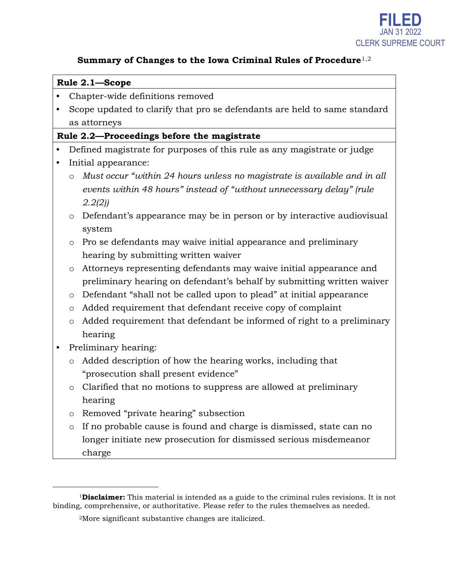

#### **Summary of Changes to the Iowa Criminal Rules of Procedure**[1](#page-0-0),[2](#page-0-1)

#### **Rule 2.1—Scope**

- Chapter-wide definitions removed
- Scope updated to clarify that pro se defendants are held to same standard as attorneys

#### **Rule 2.2—Proceedings before the magistrate**

- Defined magistrate for purposes of this rule as any magistrate or judge
- Initial appearance:
	- o *Must occur "within 24 hours unless no magistrate is available and in all events within 48 hours" instead of "without unnecessary delay" (rule 2.2(2))*
	- o Defendant's appearance may be in person or by interactive audiovisual system
	- o Pro se defendants may waive initial appearance and preliminary hearing by submitting written waiver
	- o Attorneys representing defendants may waive initial appearance and preliminary hearing on defendant's behalf by submitting written waiver
	- o Defendant "shall not be called upon to plead" at initial appearance
	- o Added requirement that defendant receive copy of complaint
	- o Added requirement that defendant be informed of right to a preliminary hearing
- Preliminary hearing:
	- o Added description of how the hearing works, including that "prosecution shall present evidence"
	- o Clarified that no motions to suppress are allowed at preliminary hearing
	- o Removed "private hearing" subsection
	- o If no probable cause is found and charge is dismissed, state can no longer initiate new prosecution for dismissed serious misdemeanor charge

<span id="page-0-1"></span><span id="page-0-0"></span> <sup>1</sup>**Disclaimer:** This material is intended as a guide to the criminal rules revisions. It is not binding, comprehensive, or authoritative. Please refer to the rules themselves as needed.

<sup>2</sup>More significant substantive changes are italicized.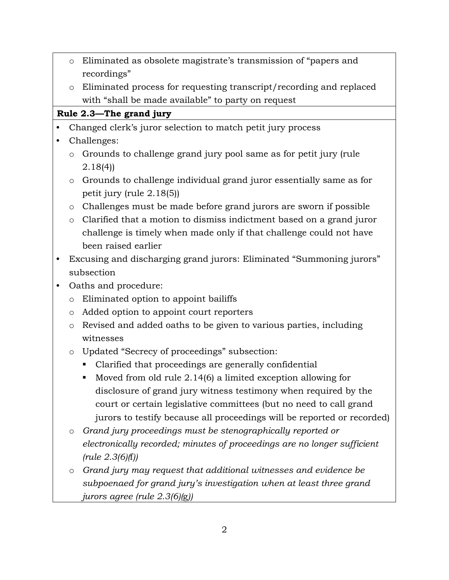- o Eliminated as obsolete magistrate's transmission of "papers and recordings"
- o Eliminated process for requesting transcript/recording and replaced with "shall be made available" to party on request

#### **Rule 2.3—The grand jury**

- Changed clerk's juror selection to match petit jury process
- Challenges:
	- o Grounds to challenge grand jury pool same as for petit jury (rule 2.18(4))
	- o Grounds to challenge individual grand juror essentially same as for petit jury (rule 2.18(5))
	- o Challenges must be made before grand jurors are sworn if possible
	- o Clarified that a motion to dismiss indictment based on a grand juror challenge is timely when made only if that challenge could not have been raised earlier
- Excusing and discharging grand jurors: Eliminated "Summoning jurors" subsection
- Oaths and procedure:
	- o Eliminated option to appoint bailiffs
	- o Added option to appoint court reporters
	- o Revised and added oaths to be given to various parties, including witnesses
	- o Updated "Secrecy of proceedings" subsection:
		- Clarified that proceedings are generally confidential
		- Moved from old rule 2.14(6) a limited exception allowing for disclosure of grand jury witness testimony when required by the court or certain legislative committees (but no need to call grand jurors to testify because all proceedings will be reported or recorded)
	- o *Grand jury proceedings must be stenographically reported or electronically recorded; minutes of proceedings are no longer sufficient (rule 2.3(6)(*f*))*
	- o *Grand jury may request that additional witnesses and evidence be subpoenaed for grand jury's investigation when at least three grand jurors agree (rule 2.3(6)(*g*))*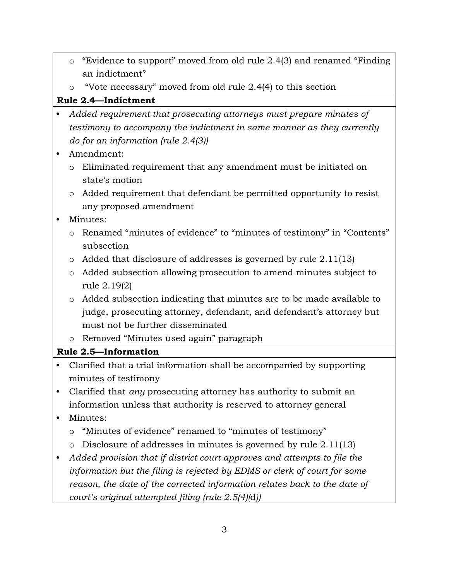- o "Evidence to support" moved from old rule 2.4(3) and renamed "Finding an indictment"
- o "Vote necessary" moved from old rule 2.4(4) to this section

## **Rule 2.4—Indictment**

- *Added requirement that prosecuting attorneys must prepare minutes of testimony to accompany the indictment in same manner as they currently do for an information (rule 2.4(3))*
- Amendment:
	- o Eliminated requirement that any amendment must be initiated on state's motion
	- o Added requirement that defendant be permitted opportunity to resist any proposed amendment
- Minutes:
	- o Renamed "minutes of evidence" to "minutes of testimony" in "Contents" subsection
	- o Added that disclosure of addresses is governed by rule 2.11(13)
	- o Added subsection allowing prosecution to amend minutes subject to rule 2.19(2)
	- o Added subsection indicating that minutes are to be made available to judge, prosecuting attorney, defendant, and defendant's attorney but must not be further disseminated
	- o Removed "Minutes used again" paragraph

# **Rule 2.5—Information**

- Clarified that a trial information shall be accompanied by supporting minutes of testimony
- Clarified that *any* prosecuting attorney has authority to submit an information unless that authority is reserved to attorney general
- Minutes:
	- o "Minutes of evidence" renamed to "minutes of testimony"
	- o Disclosure of addresses in minutes is governed by rule 2.11(13)
- *Added provision that if district court approves and attempts to file the information but the filing is rejected by EDMS or clerk of court for some reason, the date of the corrected information relates back to the date of court's original attempted filing (rule 2.5(4)(*d*))*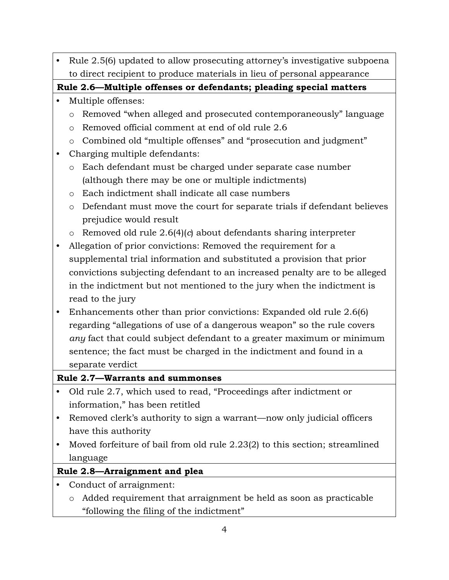• Rule 2.5(6) updated to allow prosecuting attorney's investigative subpoena to direct recipient to produce materials in lieu of personal appearance

**Rule 2.6—Multiple offenses or defendants; pleading special matters**

- Multiple offenses:
	- o Removed "when alleged and prosecuted contemporaneously" language
	- o Removed official comment at end of old rule 2.6
	- o Combined old "multiple offenses" and "prosecution and judgment"
- Charging multiple defendants:
	- o Each defendant must be charged under separate case number (although there may be one or multiple indictments)
	- o Each indictment shall indicate all case numbers
	- o Defendant must move the court for separate trials if defendant believes prejudice would result
	- o Removed old rule 2.6(4)(*c*) about defendants sharing interpreter
- Allegation of prior convictions: Removed the requirement for a supplemental trial information and substituted a provision that prior convictions subjecting defendant to an increased penalty are to be alleged in the indictment but not mentioned to the jury when the indictment is read to the jury
- Enhancements other than prior convictions: Expanded old rule 2.6(6) regarding "allegations of use of a dangerous weapon" so the rule covers *any* fact that could subject defendant to a greater maximum or minimum sentence; the fact must be charged in the indictment and found in a separate verdict

## **Rule 2.7—Warrants and summonses**

- Old rule 2.7, which used to read, "Proceedings after indictment or information," has been retitled
- Removed clerk's authority to sign a warrant—now only judicial officers have this authority
- Moved forfeiture of bail from old rule 2.23(2) to this section; streamlined language

# **Rule 2.8—Arraignment and plea**

- Conduct of arraignment:
	- o Added requirement that arraignment be held as soon as practicable "following the filing of the indictment"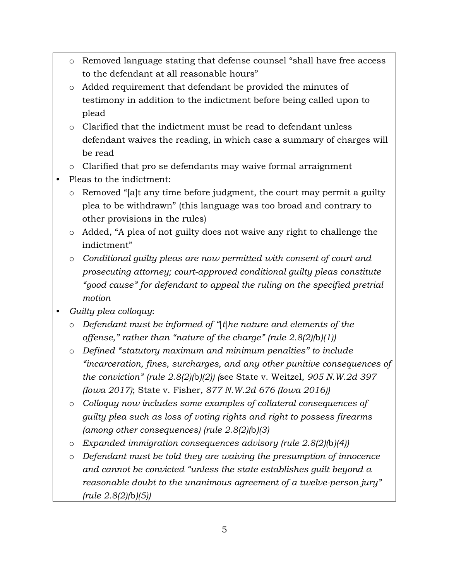- o Removed language stating that defense counsel "shall have free access to the defendant at all reasonable hours"
- o Added requirement that defendant be provided the minutes of testimony in addition to the indictment before being called upon to plead
- o Clarified that the indictment must be read to defendant unless defendant waives the reading, in which case a summary of charges will be read
- o Clarified that pro se defendants may waive formal arraignment
- Pleas to the indictment:
	- o Removed "[a]t any time before judgment, the court may permit a guilty plea to be withdrawn" (this language was too broad and contrary to other provisions in the rules)
	- o Added, "A plea of not guilty does not waive any right to challenge the indictment"
	- o *Conditional guilty pleas are now permitted with consent of court and prosecuting attorney; court-approved conditional guilty pleas constitute "good cause" for defendant to appeal the ruling on the specified pretrial motion*
- *Guilty plea colloquy*:
	- o *Defendant must be informed of "*[*t*]*he nature and elements of the offense," rather than "nature of the charge" (rule 2.8(2)(*b*)(1))*
	- o *Defined "statutory maximum and minimum penalties" to include "incarceration, fines, surcharges, and any other punitive consequences of the conviction" (rule 2.8(2)(*b*)(2)) (*see State v. Weitzel*, 905 N.W.2d 397 (Iowa 2017)*; State v. Fisher*, 877 N.W.2d 676 (Iowa 2016))*
	- o *Colloquy now includes some examples of collateral consequences of guilty plea such as loss of voting rights and right to possess firearms (among other consequences) (rule 2.8(2)(*b*)(3)*
	- o *Expanded immigration consequences advisory (rule 2.8(2)(*b*)(4))*
	- o *Defendant must be told they are waiving the presumption of innocence and cannot be convicted "unless the state establishes guilt beyond a reasonable doubt to the unanimous agreement of a twelve-person jury" (rule 2.8(2)(*b*)(5))*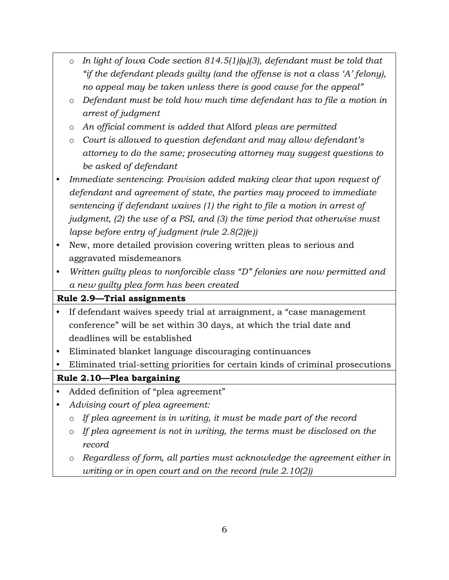- o *In light of Iowa Code section 814.5(1)(*a*)(3), defendant must be told that "if the defendant pleads guilty (and the offense is not a class 'A' felony), no appeal may be taken unless there is good cause for the appeal"*
- o *Defendant must be told how much time defendant has to file a motion in arrest of judgment*
- o *An official comment is added that* Alford *pleas are permitted*
- o *Court is allowed to question defendant and may allow defendant's attorney to do the same; prosecuting attorney may suggest questions to be asked of defendant*
- *Immediate sentencing*: *Provision added making clear that upon request of defendant and agreement of state, the parties may proceed to immediate sentencing if defendant waives (1) the right to file a motion in arrest of judgment, (2) the use of a PSI, and (3) the time period that otherwise must lapse before entry of judgment (rule 2.8(2)(*e*))*
- New, more detailed provision covering written pleas to serious and aggravated misdemeanors
- *Written guilty pleas to nonforcible class "D" felonies are now permitted and a new guilty plea form has been created*

## **Rule 2.9—Trial assignments**

- If defendant waives speedy trial at arraignment, a "case management conference" will be set within 30 days, at which the trial date and deadlines will be established
- Eliminated blanket language discouraging continuances
- Eliminated trial-setting priorities for certain kinds of criminal prosecutions

## **Rule 2.10—Plea bargaining**

- Added definition of "plea agreement"
- *Advising court of plea agreement:*
	- o *If plea agreement is in writing, it must be made part of the record*
	- o *If plea agreement is not in writing, the terms must be disclosed on the record*
	- o *Regardless of form, all parties must acknowledge the agreement either in writing or in open court and on the record (rule 2.10(2))*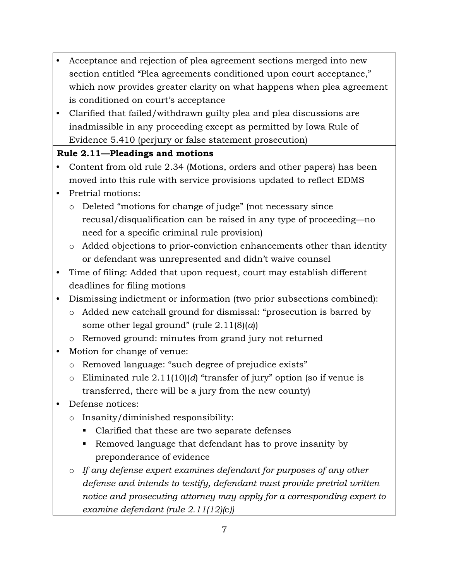- Acceptance and rejection of plea agreement sections merged into new section entitled "Plea agreements conditioned upon court acceptance," which now provides greater clarity on what happens when plea agreement is conditioned on court's acceptance
- Clarified that failed/withdrawn guilty plea and plea discussions are inadmissible in any proceeding except as permitted by Iowa Rule of Evidence 5.410 (perjury or false statement prosecution)

## **Rule 2.11—Pleadings and motions**

- Content from old rule 2.34 (Motions, orders and other papers) has been moved into this rule with service provisions updated to reflect EDMS
- Pretrial motions:
	- o Deleted "motions for change of judge" (not necessary since recusal/disqualification can be raised in any type of proceeding—no need for a specific criminal rule provision)
	- o Added objections to prior-conviction enhancements other than identity or defendant was unrepresented and didn't waive counsel
- Time of filing: Added that upon request, court may establish different deadlines for filing motions
- Dismissing indictment or information (two prior subsections combined):
	- o Added new catchall ground for dismissal: "prosecution is barred by some other legal ground" (rule 2.11(8)(*a*))
	- o Removed ground: minutes from grand jury not returned
- Motion for change of venue:
	- o Removed language: "such degree of prejudice exists"
	- o Eliminated rule 2.11(10)(*d*) "transfer of jury" option (so if venue is transferred, there will be a jury from the new county)
- Defense notices:
	- o Insanity/diminished responsibility:
		- Clarified that these are two separate defenses
		- Removed language that defendant has to prove insanity by preponderance of evidence
	- o *If any defense expert examines defendant for purposes of any other defense and intends to testify, defendant must provide pretrial written notice and prosecuting attorney may apply for a corresponding expert to examine defendant (rule 2.11(12)(*c*))*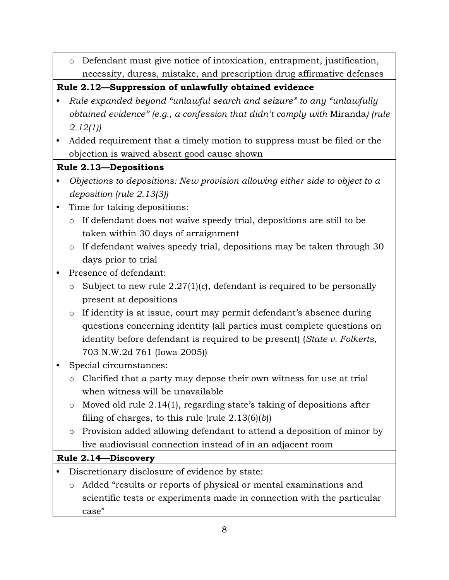o Defendant must give notice of intoxication, entrapment, justification, necessity, duress, mistake, and prescription drug affirmative defenses

**Rule 2.12—Suppression of unlawfully obtained evidence**

- *Rule expanded beyond "unlawful search and seizure" to any "unlawfully obtained evidence" (e.g., a confession that didn't comply with* Miranda*) (rule 2.12(1))*
- Added requirement that a timely motion to suppress must be filed or the objection is waived absent good cause shown

#### **Rule 2.13—Depositions**

- *Objections to depositions: New provision allowing either side to object to a deposition (rule 2.13(3))*
- Time for taking depositions:
	- o If defendant does not waive speedy trial, depositions are still to be taken within 30 days of arraignment
	- o If defendant waives speedy trial, depositions may be taken through 30 days prior to trial
- Presence of defendant:
	- o Subject to new rule 2.27(1)(*c*), defendant is required to be personally present at depositions
	- o If identity is at issue, court may permit defendant's absence during questions concerning identity (all parties must complete questions on identity before defendant is required to be present) (*State v. Folkerts*, 703 N.W.2d 761 (Iowa 2005))
- Special circumstances:
	- o Clarified that a party may depose their own witness for use at trial when witness will be unavailable
	- o Moved old rule 2.14(1), regarding state's taking of depositions after filing of charges, to this rule (rule 2.13(6)(*b*))
	- o Provision added allowing defendant to attend a deposition of minor by live audiovisual connection instead of in an adjacent room

## **Rule 2.14—Discovery**

- Discretionary disclosure of evidence by state:
	- o Added "results or reports of physical or mental examinations and scientific tests or experiments made in connection with the particular case"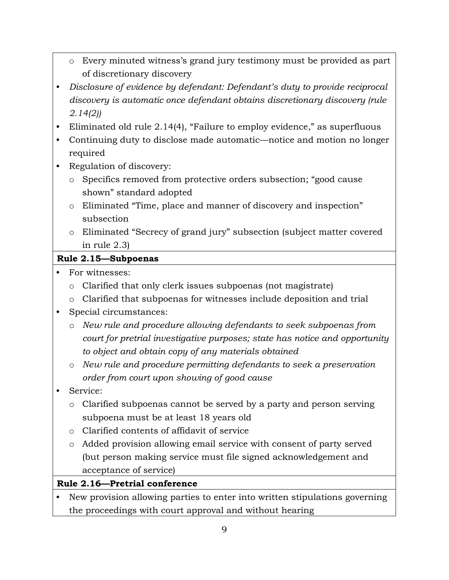- o Every minuted witness's grand jury testimony must be provided as part of discretionary discovery
- *Disclosure of evidence by defendant: Defendant's duty to provide reciprocal discovery is automatic once defendant obtains discretionary discovery (rule 2.14(2))*
- Eliminated old rule 2.14(4), "Failure to employ evidence," as superfluous
- Continuing duty to disclose made automatic—notice and motion no longer required
- Regulation of discovery:
	- o Specifics removed from protective orders subsection; "good cause shown" standard adopted
	- o Eliminated "Time, place and manner of discovery and inspection" subsection
	- o Eliminated "Secrecy of grand jury" subsection (subject matter covered in rule 2.3)

#### **Rule 2.15—Subpoenas**

- For witnesses:
	- o Clarified that only clerk issues subpoenas (not magistrate)
	- o Clarified that subpoenas for witnesses include deposition and trial
- Special circumstances:
	- o *New rule and procedure allowing defendants to seek subpoenas from court for pretrial investigative purposes; state has notice and opportunity to object and obtain copy of any materials obtained*
	- o *New rule and procedure permitting defendants to seek a preservation order from court upon showing of good cause*
- Service:
	- o Clarified subpoenas cannot be served by a party and person serving subpoena must be at least 18 years old
	- o Clarified contents of affidavit of service
	- o Added provision allowing email service with consent of party served (but person making service must file signed acknowledgement and acceptance of service)

**Rule 2.16—Pretrial conference**

• New provision allowing parties to enter into written stipulations governing the proceedings with court approval and without hearing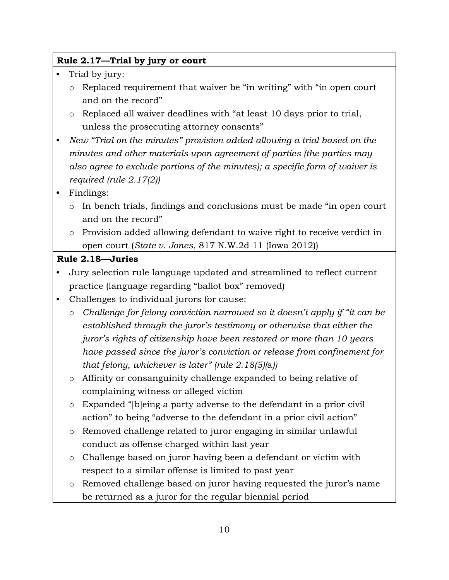#### **Rule 2.17—Trial by jury or court**

- Trial by jury:
	- o Replaced requirement that waiver be "in writing" with "in open court and on the record"
	- o Replaced all waiver deadlines with "at least 10 days prior to trial, unless the prosecuting attorney consents"
- *New "Trial on the minutes" provision added allowing a trial based on the minutes and other materials upon agreement of parties (the parties may also agree to exclude portions of the minutes); a specific form of waiver is required (rule 2.17(2))*
- Findings:
	- o In bench trials, findings and conclusions must be made "in open court and on the record"
	- o Provision added allowing defendant to waive right to receive verdict in open court (*State v. Jones*, 817 N.W.2d 11 (Iowa 2012))

#### **Rule 2.18—Juries**

- Jury selection rule language updated and streamlined to reflect current practice (language regarding "ballot box" removed)
- Challenges to individual jurors for cause:
	- o *Challenge for felony conviction narrowed so it doesn't apply if "it can be established through the juror's testimony or otherwise that either the juror's rights of citizenship have been restored or more than 10 years have passed since the juror's conviction or release from confinement for that felony, whichever is later" (rule 2.18(5)(*a*))*
	- o Affinity or consanguinity challenge expanded to being relative of complaining witness or alleged victim
	- o Expanded "[b]eing a party adverse to the defendant in a prior civil action" to being "adverse to the defendant in a prior civil action"
	- o Removed challenge related to juror engaging in similar unlawful conduct as offense charged within last year
	- o Challenge based on juror having been a defendant or victim with respect to a similar offense is limited to past year
	- o Removed challenge based on juror having requested the juror's name be returned as a juror for the regular biennial period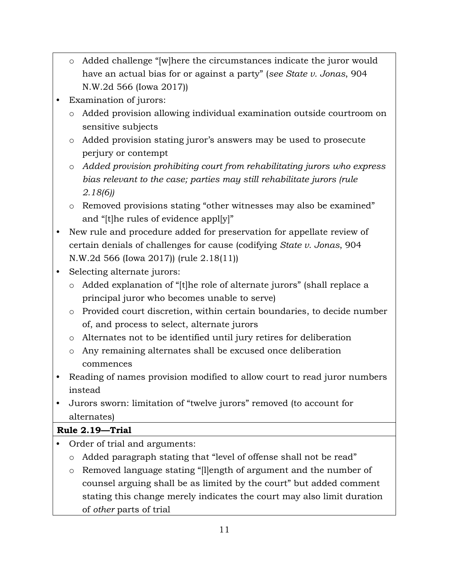- o Added challenge "[w]here the circumstances indicate the juror would have an actual bias for or against a party" (*see State v. Jonas*, 904 N.W.2d 566 (Iowa 2017))
- **Examination of jurors:** 
	- o Added provision allowing individual examination outside courtroom on sensitive subjects
	- o Added provision stating juror's answers may be used to prosecute perjury or contempt
	- o *Added provision prohibiting court from rehabilitating jurors who express bias relevant to the case; parties may still rehabilitate jurors (rule 2.18(6))*
	- o Removed provisions stating "other witnesses may also be examined" and "[t]he rules of evidence appl[y]"
- New rule and procedure added for preservation for appellate review of certain denials of challenges for cause (codifying *State v. Jonas*, 904 N.W.2d 566 (Iowa 2017)) (rule 2.18(11))
- Selecting alternate jurors:
	- o Added explanation of "[t]he role of alternate jurors" (shall replace a principal juror who becomes unable to serve)
	- o Provided court discretion, within certain boundaries, to decide number of, and process to select, alternate jurors
	- o Alternates not to be identified until jury retires for deliberation
	- o Any remaining alternates shall be excused once deliberation commences
- Reading of names provision modified to allow court to read juror numbers instead
- Jurors sworn: limitation of "twelve jurors" removed (to account for alternates)

## **Rule 2.19—Trial**

- Order of trial and arguments:
	- o Added paragraph stating that "level of offense shall not be read"
	- o Removed language stating "[l]ength of argument and the number of counsel arguing shall be as limited by the court" but added comment stating this change merely indicates the court may also limit duration of *other* parts of trial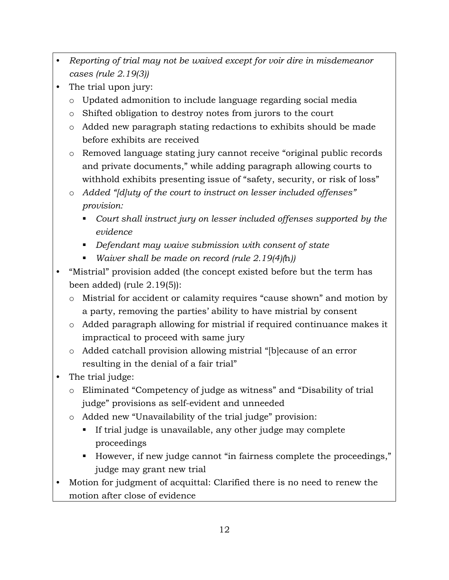- *Reporting of trial may not be waived except for voir dire in misdemeanor cases (rule 2.19(3))*
- The trial upon jury:
	- o Updated admonition to include language regarding social media
	- o Shifted obligation to destroy notes from jurors to the court
	- o Added new paragraph stating redactions to exhibits should be made before exhibits are received
	- o Removed language stating jury cannot receive "original public records and private documents," while adding paragraph allowing courts to withhold exhibits presenting issue of "safety, security, or risk of loss"
	- o *Added "[d]uty of the court to instruct on lesser included offenses" provision:*
		- *Court shall instruct jury on lesser included offenses supported by the evidence*
		- *Defendant may waive submission with consent of state*
		- *Waiver shall be made on record (rule 2.19(4)(*h*))*
- "Mistrial" provision added (the concept existed before but the term has been added) (rule 2.19(5)):
	- o Mistrial for accident or calamity requires "cause shown" and motion by a party, removing the parties' ability to have mistrial by consent
	- o Added paragraph allowing for mistrial if required continuance makes it impractical to proceed with same jury
	- o Added catchall provision allowing mistrial "[b]ecause of an error resulting in the denial of a fair trial"
- The trial judge:
	- o Eliminated "Competency of judge as witness" and "Disability of trial judge" provisions as self-evident and unneeded
	- o Added new "Unavailability of the trial judge" provision:
		- If trial judge is unavailable, any other judge may complete proceedings
		- However, if new judge cannot "in fairness complete the proceedings," judge may grant new trial
- Motion for judgment of acquittal: Clarified there is no need to renew the motion after close of evidence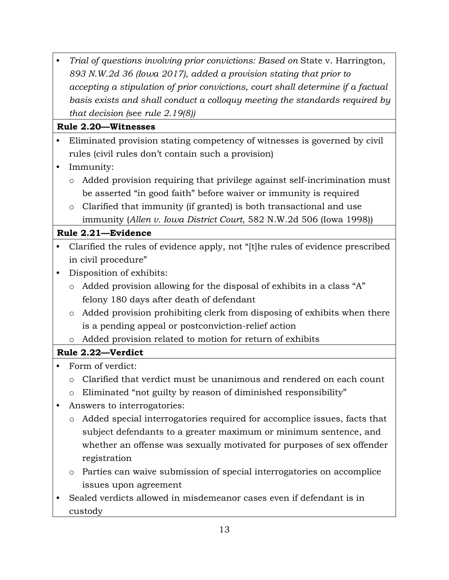• *Trial of questions involving prior convictions: Based on* State v. Harrington*, 893 N.W.2d 36 (Iowa 2017), added a provision stating that prior to accepting a stipulation of prior convictions, court shall determine if a factual basis exists and shall conduct a colloquy meeting the standards required by that decision (*see *rule 2.19(8))*

## **Rule 2.20—Witnesses**

- Eliminated provision stating competency of witnesses is governed by civil rules (civil rules don't contain such a provision)
- Immunity:
	- o Added provision requiring that privilege against self-incrimination must be asserted "in good faith" before waiver or immunity is required
	- o Clarified that immunity (if granted) is both transactional and use immunity (*Allen v. Iowa District Court*, 582 N.W.2d 506 (Iowa 1998))

## **Rule 2.21—Evidence**

- Clarified the rules of evidence apply, not "[t]he rules of evidence prescribed in civil procedure"
- Disposition of exhibits:
	- o Added provision allowing for the disposal of exhibits in a class "A" felony 180 days after death of defendant
	- o Added provision prohibiting clerk from disposing of exhibits when there is a pending appeal or postconviction-relief action
	- o Added provision related to motion for return of exhibits

## **Rule 2.22—Verdict**

- Form of verdict:
	- o Clarified that verdict must be unanimous and rendered on each count
	- o Eliminated "not guilty by reason of diminished responsibility"
- Answers to interrogatories:
	- o Added special interrogatories required for accomplice issues, facts that subject defendants to a greater maximum or minimum sentence, and whether an offense was sexually motivated for purposes of sex offender registration
	- o Parties can waive submission of special interrogatories on accomplice issues upon agreement
- Sealed verdicts allowed in misdemeanor cases even if defendant is in custody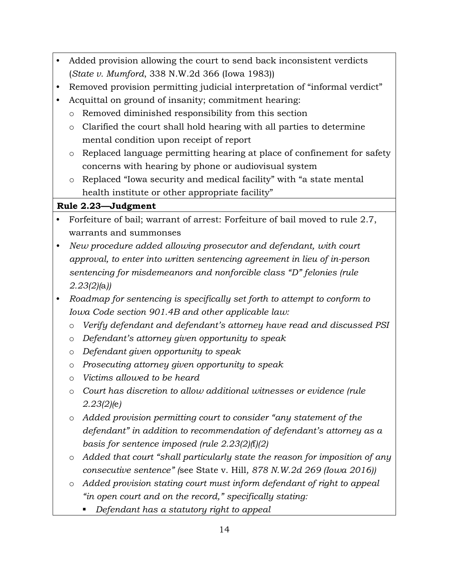- Added provision allowing the court to send back inconsistent verdicts (*State v. Mumford*, 338 N.W.2d 366 (Iowa 1983))
- Removed provision permitting judicial interpretation of "informal verdict"
- Acquittal on ground of insanity; commitment hearing:
	- o Removed diminished responsibility from this section
	- o Clarified the court shall hold hearing with all parties to determine mental condition upon receipt of report
	- o Replaced language permitting hearing at place of confinement for safety concerns with hearing by phone or audiovisual system
	- o Replaced "Iowa security and medical facility" with "a state mental health institute or other appropriate facility"

## **Rule 2.23—Judgment**

- Forfeiture of bail; warrant of arrest: Forfeiture of bail moved to rule 2.7, warrants and summonses
- *New procedure added allowing prosecutor and defendant, with court approval, to enter into written sentencing agreement in lieu of in-person sentencing for misdemeanors and nonforcible class "D" felonies (rule 2.23(2)(*a*))*
- *Roadmap for sentencing is specifically set forth to attempt to conform to Iowa Code section 901.4B and other applicable law:*
	- o *Verify defendant and defendant's attorney have read and discussed PSI*
	- o *Defendant's attorney given opportunity to speak*
	- o *Defendant given opportunity to speak*
	- o *Prosecuting attorney given opportunity to speak*
	- o *Victims allowed to be heard*
	- o *Court has discretion to allow additional witnesses or evidence (rule 2.23(2)(*e*)*
	- o *Added provision permitting court to consider "any statement of the defendant" in addition to recommendation of defendant's attorney as a basis for sentence imposed (rule 2.23(2)(*f*)(2)*
	- o *Added that court "shall particularly state the reason for imposition of any consecutive sentence" (*see State v. Hill*, 878 N.W.2d 269 (Iowa 2016))*
	- o *Added provision stating court must inform defendant of right to appeal "in open court and on the record," specifically stating:*
		- *Defendant has a statutory right to appeal*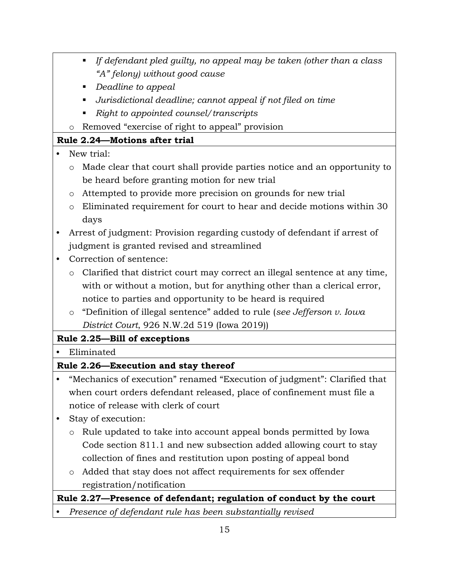- *If defendant pled guilty, no appeal may be taken (other than a class "A" felony) without good cause*
- *Deadline to appeal*
- *Jurisdictional deadline; cannot appeal if not filed on time*
- *Right to appointed counsel/transcripts*
- o Removed "exercise of right to appeal" provision

# **Rule 2.24—Motions after trial**

- New trial:
	- o Made clear that court shall provide parties notice and an opportunity to be heard before granting motion for new trial
	- o Attempted to provide more precision on grounds for new trial
	- o Eliminated requirement for court to hear and decide motions within 30 days
- Arrest of judgment: Provision regarding custody of defendant if arrest of judgment is granted revised and streamlined
- Correction of sentence:
	- o Clarified that district court may correct an illegal sentence at any time, with or without a motion, but for anything other than a clerical error, notice to parties and opportunity to be heard is required
	- o "Definition of illegal sentence" added to rule (*see Jefferson v. Iowa District Court*, 926 N.W.2d 519 (Iowa 2019))

# **Rule 2.25—Bill of exceptions**

• Eliminated

# **Rule 2.26—Execution and stay thereof**

- "Mechanics of execution" renamed "Execution of judgment": Clarified that when court orders defendant released, place of confinement must file a notice of release with clerk of court
- Stay of execution:
	- o Rule updated to take into account appeal bonds permitted by Iowa Code section 811.1 and new subsection added allowing court to stay collection of fines and restitution upon posting of appeal bond
	- o Added that stay does not affect requirements for sex offender registration/notification

# **Rule 2.27—Presence of defendant; regulation of conduct by the court**

• *Presence of defendant rule has been substantially revised*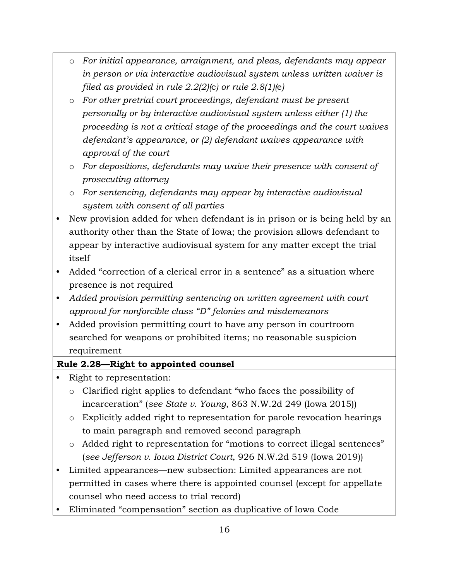- o *For initial appearance, arraignment, and pleas, defendants may appear in person or via interactive audiovisual system unless written waiver is filed as provided in rule 2.2(2)(*c*) or rule 2.8(1)(*e*)*
- o *For other pretrial court proceedings, defendant must be present personally or by interactive audiovisual system unless either (1) the proceeding is not a critical stage of the proceedings and the court waives defendant's appearance, or (2) defendant waives appearance with approval of the court*
- o *For depositions, defendants may waive their presence with consent of prosecuting attorney*
- o *For sentencing, defendants may appear by interactive audiovisual system with consent of all parties*
- New provision added for when defendant is in prison or is being held by an authority other than the State of Iowa; the provision allows defendant to appear by interactive audiovisual system for any matter except the trial itself
- Added "correction of a clerical error in a sentence" as a situation where presence is not required
- *Added provision permitting sentencing on written agreement with court approval for nonforcible class "D" felonies and misdemeanors*
- Added provision permitting court to have any person in courtroom searched for weapons or prohibited items; no reasonable suspicion requirement

#### **Rule 2.28—Right to appointed counsel**

- Right to representation:
	- o Clarified right applies to defendant "who faces the possibility of incarceration" (*see State v. Young*, 863 N.W.2d 249 (Iowa 2015))
	- o Explicitly added right to representation for parole revocation hearings to main paragraph and removed second paragraph
	- o Added right to representation for "motions to correct illegal sentences" (*see Jefferson v. Iowa District Court*, 926 N.W.2d 519 (Iowa 2019))
- Limited appearances—new subsection: Limited appearances are not permitted in cases where there is appointed counsel (except for appellate counsel who need access to trial record)
- Eliminated "compensation" section as duplicative of Iowa Code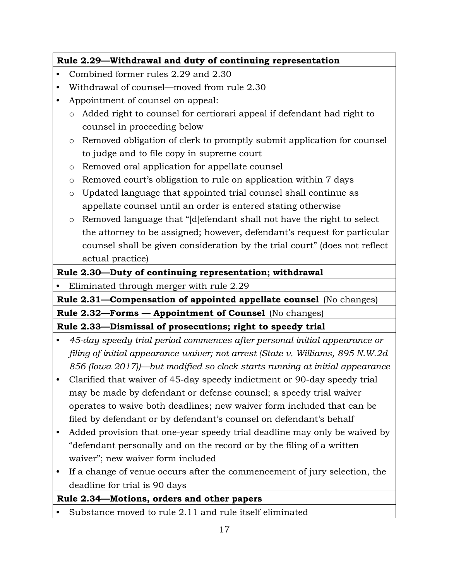## **Rule 2.29—Withdrawal and duty of continuing representation**

- Combined former rules 2.29 and 2.30
- Withdrawal of counsel—moved from rule 2.30
- Appointment of counsel on appeal:
	- o Added right to counsel for certiorari appeal if defendant had right to counsel in proceeding below
	- o Removed obligation of clerk to promptly submit application for counsel to judge and to file copy in supreme court
	- o Removed oral application for appellate counsel
	- o Removed court's obligation to rule on application within 7 days
	- o Updated language that appointed trial counsel shall continue as appellate counsel until an order is entered stating otherwise
	- o Removed language that "[d]efendant shall not have the right to select the attorney to be assigned; however, defendant's request for particular counsel shall be given consideration by the trial court" (does not reflect actual practice)

## **Rule 2.30—Duty of continuing representation; withdrawal**

• Eliminated through merger with rule 2.29

**Rule 2.31—Compensation of appointed appellate counsel** (No changes) **Rule 2.32—Forms — Appointment of Counsel** (No changes)

**Rule 2.33—Dismissal of prosecutions; right to speedy trial**

- *45-day speedy trial period commences after personal initial appearance or filing of initial appearance waiver; not arrest (State v. Williams, 895 N.W.2d 856 (Iowa 2017))—but modified so clock starts running at initial appearance*
- Clarified that waiver of 45-day speedy indictment or 90-day speedy trial may be made by defendant or defense counsel; a speedy trial waiver operates to waive both deadlines; new waiver form included that can be filed by defendant or by defendant's counsel on defendant's behalf
- Added provision that one-year speedy trial deadline may only be waived by "defendant personally and on the record or by the filing of a written waiver"; new waiver form included
- If a change of venue occurs after the commencement of jury selection, the deadline for trial is 90 days

## **Rule 2.34—Motions, orders and other papers**

Substance moved to rule 2.11 and rule itself eliminated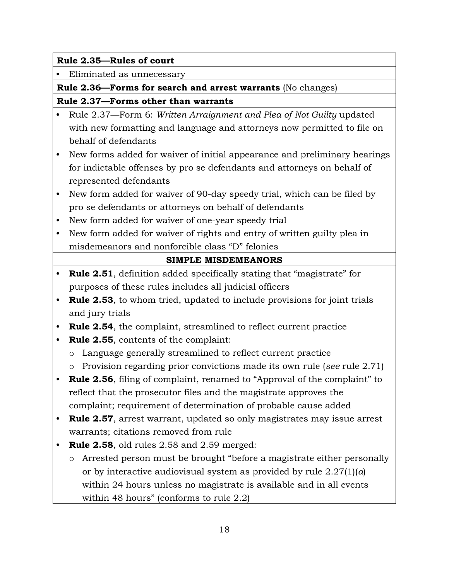#### **Rule 2.35—Rules of court**

• Eliminated as unnecessary

**Rule 2.36—Forms for search and arrest warrants** (No changes)

**Rule 2.37—Forms other than warrants**

- Rule 2.37—Form 6: *Written Arraignment and Plea of Not Guilty* updated with new formatting and language and attorneys now permitted to file on behalf of defendants
- New forms added for waiver of initial appearance and preliminary hearings for indictable offenses by pro se defendants and attorneys on behalf of represented defendants
- New form added for waiver of 90-day speedy trial, which can be filed by pro se defendants or attorneys on behalf of defendants
- New form added for waiver of one-year speedy trial
- New form added for waiver of rights and entry of written guilty plea in misdemeanors and nonforcible class "D" felonies

## **SIMPLE MISDEMEANORS**

- **Rule 2.51**, definition added specifically stating that "magistrate" for purposes of these rules includes all judicial officers
- **Rule 2.53**, to whom tried, updated to include provisions for joint trials and jury trials
- **Rule 2.54**, the complaint, streamlined to reflect current practice
- **Rule 2.55**, contents of the complaint:
	- o Language generally streamlined to reflect current practice
	- o Provision regarding prior convictions made its own rule (*see* rule 2.71)
- **Rule 2.56**, filing of complaint, renamed to "Approval of the complaint" to reflect that the prosecutor files and the magistrate approves the complaint; requirement of determination of probable cause added
- **Rule 2.57**, arrest warrant, updated so only magistrates may issue arrest warrants; citations removed from rule
- **Rule 2.58**, old rules 2.58 and 2.59 merged:
	- o Arrested person must be brought "before a magistrate either personally or by interactive audiovisual system as provided by rule 2.27(1)(*a*) within 24 hours unless no magistrate is available and in all events within 48 hours" (conforms to rule 2.2)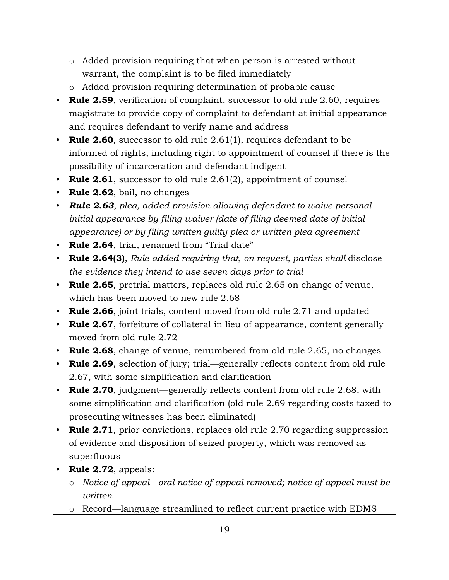- o Added provision requiring that when person is arrested without warrant, the complaint is to be filed immediately
- o Added provision requiring determination of probable cause
- **Rule 2.59**, verification of complaint, successor to old rule 2.60, requires magistrate to provide copy of complaint to defendant at initial appearance and requires defendant to verify name and address
- **Rule 2.60**, successor to old rule 2.61(1), requires defendant to be informed of rights, including right to appointment of counsel if there is the possibility of incarceration and defendant indigent
- **Rule 2.61**, successor to old rule 2.61(2), appointment of counsel
- **Rule 2.62**, bail, no changes
- *Rule 2.63, plea, added provision allowing defendant to waive personal initial appearance by filing waiver (date of filing deemed date of initial appearance) or by filing written guilty plea or written plea agreement*
- **Rule 2.64**, trial, renamed from "Trial date"
- **Rule 2.64(3)**, *Rule added requiring that, on request, parties shall* disclose *the evidence they intend to use seven days prior to trial*
- **Rule 2.65**, pretrial matters, replaces old rule 2.65 on change of venue, which has been moved to new rule 2.68
- **Rule 2.66**, joint trials, content moved from old rule 2.71 and updated
- **Rule 2.67**, forfeiture of collateral in lieu of appearance, content generally moved from old rule 2.72
- **Rule 2.68**, change of venue, renumbered from old rule 2.65, no changes
- **Rule 2.69**, selection of jury; trial—generally reflects content from old rule 2.67, with some simplification and clarification
- **Rule 2.70**, judgment—generally reflects content from old rule 2.68, with some simplification and clarification (old rule 2.69 regarding costs taxed to prosecuting witnesses has been eliminated)
- **Rule 2.71**, prior convictions, replaces old rule 2.70 regarding suppression of evidence and disposition of seized property, which was removed as superfluous
- **Rule 2.72**, appeals:
	- o *Notice of appeal—oral notice of appeal removed; notice of appeal must be written*
	- o Record—language streamlined to reflect current practice with EDMS